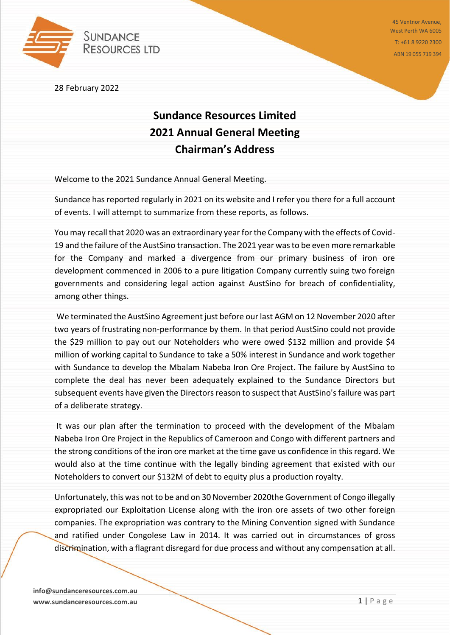

45 Ventnor Avenue, West Perth WA 6005 T: +61 8 9220 2300 ABN 19 055 719 394

28 February 2022

## **Sundance Resources Limited 2021 Annual General Meeting Chairman's Address**

Welcome to the 2021 Sundance Annual General Meeting.

Sundance has reported regularly in 2021 on its website and I refer you there for a full account of events. I will attempt to summarize from these reports, as follows.

You may recall that 2020 was an extraordinary year for the Company with the effects of Covid-19 and the failure of the AustSino transaction. The 2021 year was to be even more remarkable for the Company and marked a divergence from our primary business of iron ore development commenced in 2006 to a pure litigation Company currently suing two foreign governments and considering legal action against AustSino for breach of confidentiality, among other things.

We terminated the AustSino Agreement just before our last AGM on 12 November 2020 after two years of frustrating non-performance by them. In that period AustSino could not provide the \$29 million to pay out our Noteholders who were owed \$132 million and provide \$4 million of working capital to Sundance to take a 50% interest in Sundance and work together with Sundance to develop the Mbalam Nabeba Iron Ore Project. The failure by AustSino to complete the deal has never been adequately explained to the Sundance Directors but subsequent events have given the Directors reason to suspect that AustSino's failure was part of a deliberate strategy.

It was our plan after the termination to proceed with the development of the Mbalam Nabeba Iron Ore Project in the Republics of Cameroon and Congo with different partners and the strong conditions of the iron ore market at the time gave us confidence in this regard. We would also at the time continue with the legally binding agreement that existed with our Noteholders to convert our \$132M of debt to equity plus a production royalty.

Unfortunately, this was not to be and on 30 November 2020the Government of Congo illegally expropriated our Exploitation License along with the iron ore assets of two other foreign companies. The expropriation was contrary to the Mining Convention signed with Sundance and ratified under Congolese Law in 2014. It was carried out in circumstances of gross discrimination, with a flagrant disregard for due process and without any compensation at all.

**info@sundanceresources.com.au www.sundanceresources.com.au 1 | P a g e**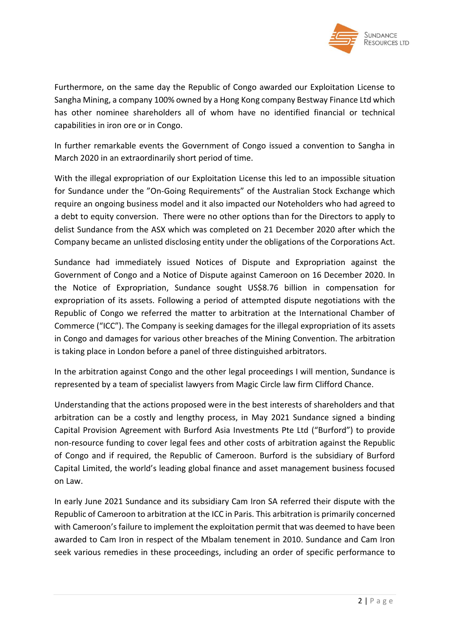

Furthermore, on the same day the Republic of Congo awarded our Exploitation License to Sangha Mining, a company 100% owned by a Hong Kong company Bestway Finance Ltd which has other nominee shareholders all of whom have no identified financial or technical capabilities in iron ore or in Congo.

In further remarkable events the Government of Congo issued a convention to Sangha in March 2020 in an extraordinarily short period of time.

With the illegal expropriation of our Exploitation License this led to an impossible situation for Sundance under the "On-Going Requirements" of the Australian Stock Exchange which require an ongoing business model and it also impacted our Noteholders who had agreed to a debt to equity conversion. There were no other options than for the Directors to apply to delist Sundance from the ASX which was completed on 21 December 2020 after which the Company became an unlisted disclosing entity under the obligations of the Corporations Act.

Sundance had immediately issued Notices of Dispute and Expropriation against the Government of Congo and a Notice of Dispute against Cameroon on 16 December 2020. In the Notice of Expropriation, Sundance sought US\$8.76 billion in compensation for expropriation of its assets. Following a period of attempted dispute negotiations with the Republic of Congo we referred the matter to arbitration at the International Chamber of Commerce ("ICC"). The Company is seeking damages for the illegal expropriation of its assets in Congo and damages for various other breaches of the Mining Convention. The arbitration is taking place in London before a panel of three distinguished arbitrators.

In the arbitration against Congo and the other legal proceedings I will mention, Sundance is represented by a team of specialist lawyers from Magic Circle law firm Clifford Chance.

Understanding that the actions proposed were in the best interests of shareholders and that arbitration can be a costly and lengthy process, in May 2021 Sundance signed a binding Capital Provision Agreement with Burford Asia Investments Pte Ltd ("Burford") to provide non-resource funding to cover legal fees and other costs of arbitration against the Republic of Congo and if required, the Republic of Cameroon. Burford is the subsidiary of Burford Capital Limited, the world's leading global finance and asset management business focused on Law.

In early June 2021 Sundance and its subsidiary Cam Iron SA referred their dispute with the Republic of Cameroon to arbitration at the ICC in Paris. This arbitration is primarily concerned with Cameroon's failure to implement the exploitation permit that was deemed to have been awarded to Cam Iron in respect of the Mbalam tenement in 2010. Sundance and Cam Iron seek various remedies in these proceedings, including an order of specific performance to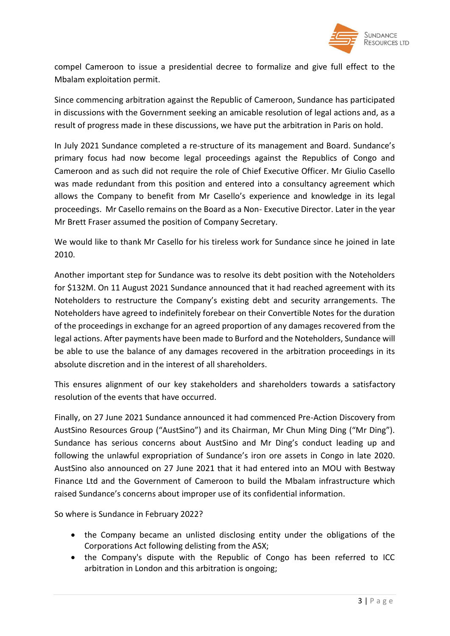

compel Cameroon to issue a presidential decree to formalize and give full effect to the Mbalam exploitation permit.

Since commencing arbitration against the Republic of Cameroon, Sundance has participated in discussions with the Government seeking an amicable resolution of legal actions and, as a result of progress made in these discussions, we have put the arbitration in Paris on hold.

In July 2021 Sundance completed a re-structure of its management and Board. Sundance's primary focus had now become legal proceedings against the Republics of Congo and Cameroon and as such did not require the role of Chief Executive Officer. Mr Giulio Casello was made redundant from this position and entered into a consultancy agreement which allows the Company to benefit from Mr Casello's experience and knowledge in its legal proceedings. Mr Casello remains on the Board as a Non- Executive Director. Later in the year Mr Brett Fraser assumed the position of Company Secretary.

We would like to thank Mr Casello for his tireless work for Sundance since he joined in late 2010.

Another important step for Sundance was to resolve its debt position with the Noteholders for \$132M. On 11 August 2021 Sundance announced that it had reached agreement with its Noteholders to restructure the Company's existing debt and security arrangements. The Noteholders have agreed to indefinitely forebear on their Convertible Notes for the duration of the proceedings in exchange for an agreed proportion of any damages recovered from the legal actions. After payments have been made to Burford and the Noteholders, Sundance will be able to use the balance of any damages recovered in the arbitration proceedings in its absolute discretion and in the interest of all shareholders.

This ensures alignment of our key stakeholders and shareholders towards a satisfactory resolution of the events that have occurred.

Finally, on 27 June 2021 Sundance announced it had commenced Pre-Action Discovery from AustSino Resources Group ("AustSino") and its Chairman, Mr Chun Ming Ding ("Mr Ding"). Sundance has serious concerns about AustSino and Mr Ding's conduct leading up and following the unlawful expropriation of Sundance's iron ore assets in Congo in late 2020. AustSino also announced on 27 June 2021 that it had entered into an MOU with Bestway Finance Ltd and the Government of Cameroon to build the Mbalam infrastructure which raised Sundance's concerns about improper use of its confidential information.

So where is Sundance in February 2022?

- the Company became an unlisted disclosing entity under the obligations of the Corporations Act following delisting from the ASX;
- the Company's dispute with the Republic of Congo has been referred to ICC arbitration in London and this arbitration is ongoing;